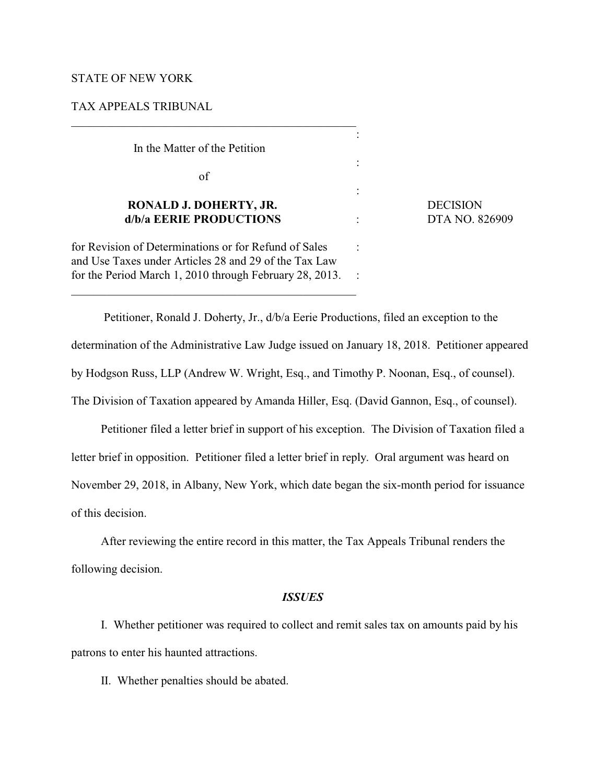### STATE OF NEW YORK

### TAX APPEALS TRIBUNAL

In the Matter of the Petition

of

# **RONALD J. DOHERTY, JR.** DECISION  **d/b/a EERIE PRODUCTIONS** : DTA NO. 826909

for Revision of Determinations or for Refund of Sales : and Use Taxes under Articles 28 and 29 of the Tax Law for the Period March 1, 2010 through February 28, 2013. :

\_\_\_\_\_\_\_\_\_\_\_\_\_\_\_\_\_\_\_\_\_\_\_\_\_\_\_\_\_\_\_\_\_\_\_\_\_\_\_\_\_\_\_\_\_\_\_\_

 Petitioner, Ronald J. Doherty, Jr., d/b/a Eerie Productions, filed an exception to the determination of the Administrative Law Judge issued on January 18, 2018. Petitioner appeared by Hodgson Russ, LLP (Andrew W. Wright, Esq., and Timothy P. Noonan, Esq., of counsel). The Division of Taxation appeared by Amanda Hiller, Esq. (David Gannon, Esq., of counsel).

:

:

:

Petitioner filed a letter brief in support of his exception. The Division of Taxation filed a letter brief in opposition. Petitioner filed a letter brief in reply. Oral argument was heard on November 29, 2018, in Albany, New York, which date began the six-month period for issuance of this decision.

After reviewing the entire record in this matter, the Tax Appeals Tribunal renders the following decision.

### *ISSUES*

I. Whether petitioner was required to collect and remit sales tax on amounts paid by his patrons to enter his haunted attractions.

II. Whether penalties should be abated.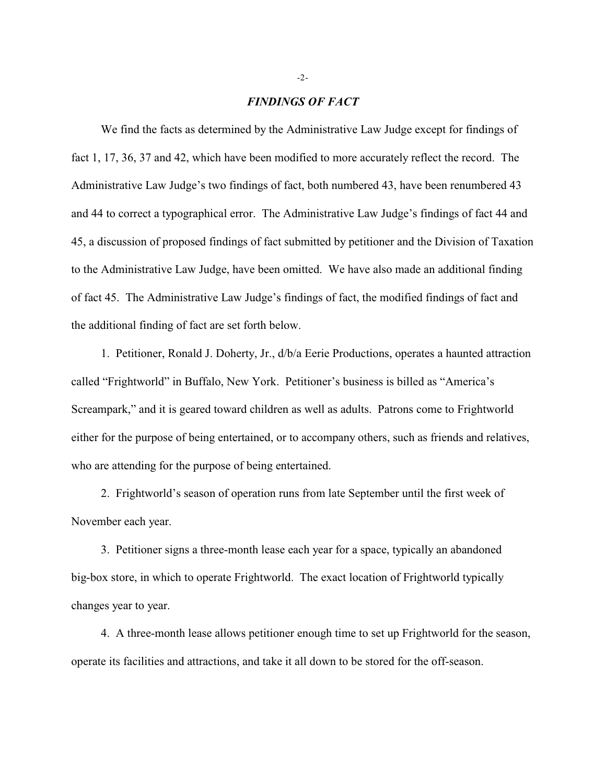#### *FINDINGS OF FACT*

We find the facts as determined by the Administrative Law Judge except for findings of fact 1, 17, 36, 37 and 42, which have been modified to more accurately reflect the record. The Administrative Law Judge's two findings of fact, both numbered 43, have been renumbered 43 and 44 to correct a typographical error. The Administrative Law Judge's findings of fact 44 and 45, a discussion of proposed findings of fact submitted by petitioner and the Division of Taxation to the Administrative Law Judge, have been omitted. We have also made an additional finding of fact 45. The Administrative Law Judge's findings of fact, the modified findings of fact and the additional finding of fact are set forth below.

1. Petitioner, Ronald J. Doherty, Jr., d/b/a Eerie Productions, operates a haunted attraction called "Frightworld" in Buffalo, New York. Petitioner's business is billed as "America's Screampark," and it is geared toward children as well as adults. Patrons come to Frightworld either for the purpose of being entertained, or to accompany others, such as friends and relatives, who are attending for the purpose of being entertained.

2. Frightworld's season of operation runs from late September until the first week of November each year.

3. Petitioner signs a three-month lease each year for a space, typically an abandoned big-box store, in which to operate Frightworld. The exact location of Frightworld typically changes year to year.

4. A three-month lease allows petitioner enough time to set up Frightworld for the season, operate its facilities and attractions, and take it all down to be stored for the off-season.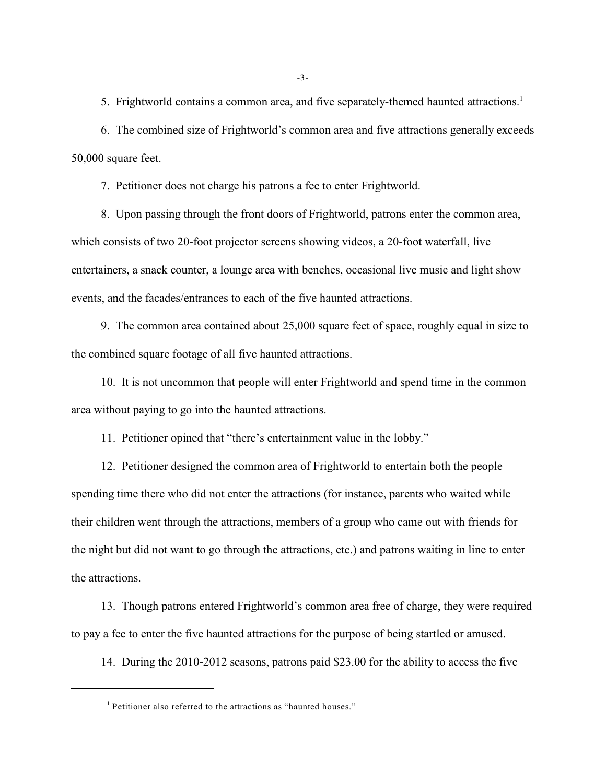5. Frightworld contains a common area, and five separately-themed haunted attractions.<sup>1</sup>

6. The combined size of Frightworld's common area and five attractions generally exceeds 50,000 square feet.

7. Petitioner does not charge his patrons a fee to enter Frightworld.

8. Upon passing through the front doors of Frightworld, patrons enter the common area, which consists of two 20-foot projector screens showing videos, a 20-foot waterfall, live entertainers, a snack counter, a lounge area with benches, occasional live music and light show events, and the facades/entrances to each of the five haunted attractions.

9. The common area contained about 25,000 square feet of space, roughly equal in size to the combined square footage of all five haunted attractions.

10. It is not uncommon that people will enter Frightworld and spend time in the common area without paying to go into the haunted attractions.

11. Petitioner opined that "there's entertainment value in the lobby."

12. Petitioner designed the common area of Frightworld to entertain both the people spending time there who did not enter the attractions (for instance, parents who waited while their children went through the attractions, members of a group who came out with friends for the night but did not want to go through the attractions, etc.) and patrons waiting in line to enter the attractions.

13. Though patrons entered Frightworld's common area free of charge, they were required to pay a fee to enter the five haunted attractions for the purpose of being startled or amused.

14. During the 2010-2012 seasons, patrons paid \$23.00 for the ability to access the five

 $<sup>1</sup>$  Petitioner also referred to the attractions as "haunted houses."</sup>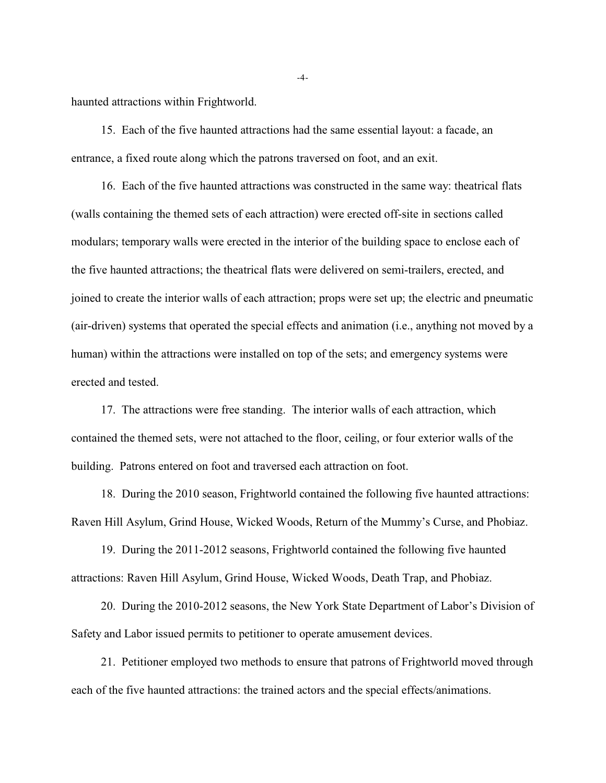haunted attractions within Frightworld.

15. Each of the five haunted attractions had the same essential layout: a facade, an entrance, a fixed route along which the patrons traversed on foot, and an exit.

16. Each of the five haunted attractions was constructed in the same way: theatrical flats (walls containing the themed sets of each attraction) were erected off-site in sections called modulars; temporary walls were erected in the interior of the building space to enclose each of the five haunted attractions; the theatrical flats were delivered on semi-trailers, erected, and joined to create the interior walls of each attraction; props were set up; the electric and pneumatic (air-driven) systems that operated the special effects and animation (i.e., anything not moved by a human) within the attractions were installed on top of the sets; and emergency systems were erected and tested.

17. The attractions were free standing. The interior walls of each attraction, which contained the themed sets, were not attached to the floor, ceiling, or four exterior walls of the building. Patrons entered on foot and traversed each attraction on foot.

18. During the 2010 season, Frightworld contained the following five haunted attractions: Raven Hill Asylum, Grind House, Wicked Woods, Return of the Mummy's Curse, and Phobiaz.

19. During the 2011-2012 seasons, Frightworld contained the following five haunted attractions: Raven Hill Asylum, Grind House, Wicked Woods, Death Trap, and Phobiaz.

20. During the 2010-2012 seasons, the New York State Department of Labor's Division of Safety and Labor issued permits to petitioner to operate amusement devices.

21. Petitioner employed two methods to ensure that patrons of Frightworld moved through each of the five haunted attractions: the trained actors and the special effects/animations.

-4-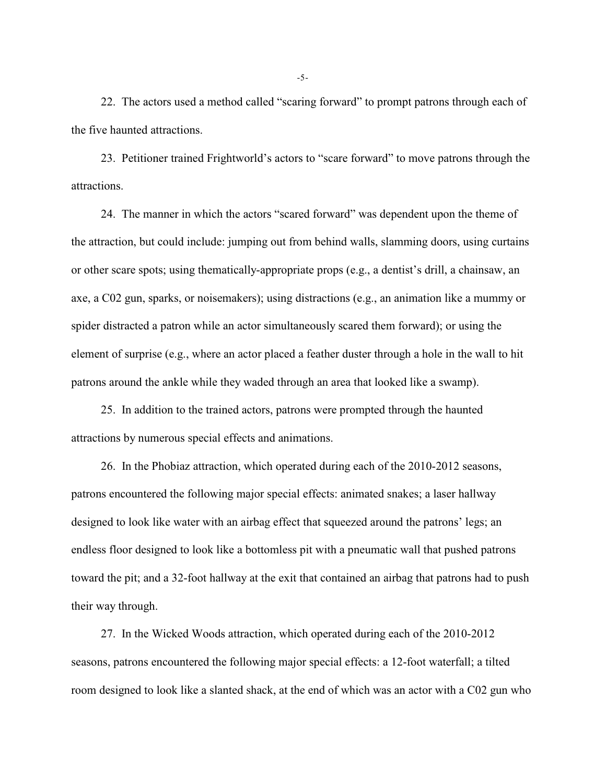22. The actors used a method called "scaring forward" to prompt patrons through each of the five haunted attractions.

23. Petitioner trained Frightworld's actors to "scare forward" to move patrons through the attractions.

24. The manner in which the actors "scared forward" was dependent upon the theme of the attraction, but could include: jumping out from behind walls, slamming doors, using curtains or other scare spots; using thematically-appropriate props (e.g., a dentist's drill, a chainsaw, an axe, a C02 gun, sparks, or noisemakers); using distractions (e.g., an animation like a mummy or spider distracted a patron while an actor simultaneously scared them forward); or using the element of surprise (e.g., where an actor placed a feather duster through a hole in the wall to hit patrons around the ankle while they waded through an area that looked like a swamp).

25. In addition to the trained actors, patrons were prompted through the haunted attractions by numerous special effects and animations.

26. In the Phobiaz attraction, which operated during each of the 2010-2012 seasons, patrons encountered the following major special effects: animated snakes; a laser hallway designed to look like water with an airbag effect that squeezed around the patrons' legs; an endless floor designed to look like a bottomless pit with a pneumatic wall that pushed patrons toward the pit; and a 32-foot hallway at the exit that contained an airbag that patrons had to push their way through.

27. In the Wicked Woods attraction, which operated during each of the 2010-2012 seasons, patrons encountered the following major special effects: a 12-foot waterfall; a tilted room designed to look like a slanted shack, at the end of which was an actor with a C02 gun who

-5-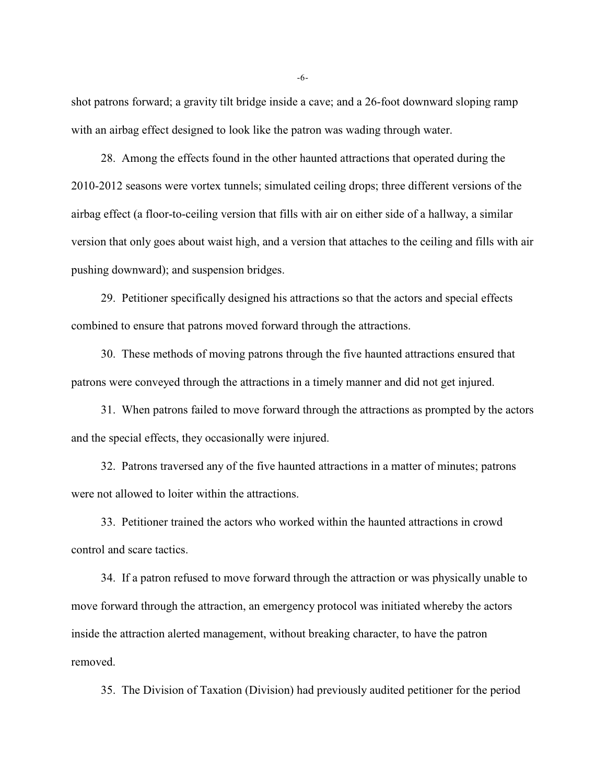shot patrons forward; a gravity tilt bridge inside a cave; and a 26-foot downward sloping ramp with an airbag effect designed to look like the patron was wading through water.

28. Among the effects found in the other haunted attractions that operated during the 2010-2012 seasons were vortex tunnels; simulated ceiling drops; three different versions of the airbag effect (a floor-to-ceiling version that fills with air on either side of a hallway, a similar version that only goes about waist high, and a version that attaches to the ceiling and fills with air pushing downward); and suspension bridges.

29. Petitioner specifically designed his attractions so that the actors and special effects combined to ensure that patrons moved forward through the attractions.

30. These methods of moving patrons through the five haunted attractions ensured that patrons were conveyed through the attractions in a timely manner and did not get injured.

31. When patrons failed to move forward through the attractions as prompted by the actors and the special effects, they occasionally were injured.

32. Patrons traversed any of the five haunted attractions in a matter of minutes; patrons were not allowed to loiter within the attractions.

33. Petitioner trained the actors who worked within the haunted attractions in crowd control and scare tactics.

34. If a patron refused to move forward through the attraction or was physically unable to move forward through the attraction, an emergency protocol was initiated whereby the actors inside the attraction alerted management, without breaking character, to have the patron removed.

35. The Division of Taxation (Division) had previously audited petitioner for the period

-6-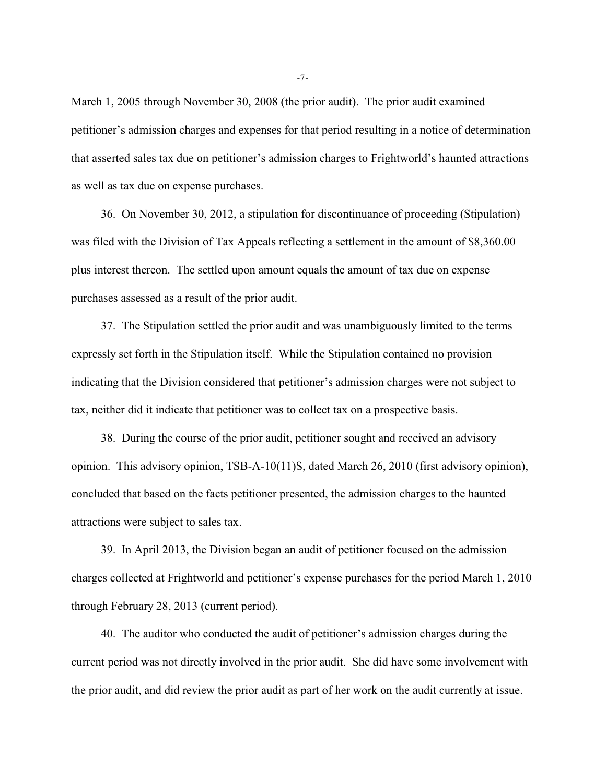March 1, 2005 through November 30, 2008 (the prior audit). The prior audit examined petitioner's admission charges and expenses for that period resulting in a notice of determination that asserted sales tax due on petitioner's admission charges to Frightworld's haunted attractions as well as tax due on expense purchases.

36. On November 30, 2012, a stipulation for discontinuance of proceeding (Stipulation) was filed with the Division of Tax Appeals reflecting a settlement in the amount of \$8,360.00 plus interest thereon. The settled upon amount equals the amount of tax due on expense purchases assessed as a result of the prior audit.

37. The Stipulation settled the prior audit and was unambiguously limited to the terms expressly set forth in the Stipulation itself. While the Stipulation contained no provision indicating that the Division considered that petitioner's admission charges were not subject to tax, neither did it indicate that petitioner was to collect tax on a prospective basis.

38. During the course of the prior audit, petitioner sought and received an advisory opinion. This advisory opinion, TSB-A-10(11)S, dated March 26, 2010 (first advisory opinion), concluded that based on the facts petitioner presented, the admission charges to the haunted attractions were subject to sales tax.

39. In April 2013, the Division began an audit of petitioner focused on the admission charges collected at Frightworld and petitioner's expense purchases for the period March 1, 2010 through February 28, 2013 (current period).

40. The auditor who conducted the audit of petitioner's admission charges during the current period was not directly involved in the prior audit. She did have some involvement with the prior audit, and did review the prior audit as part of her work on the audit currently at issue.

-7-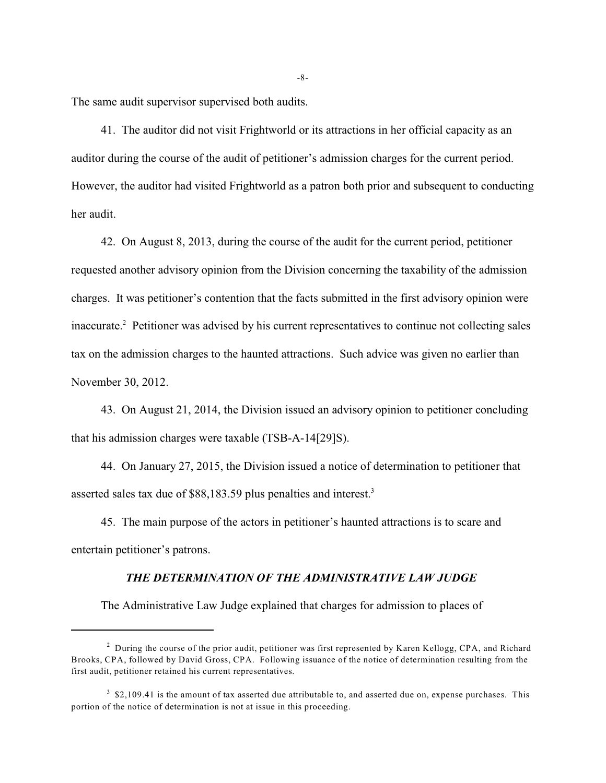The same audit supervisor supervised both audits.

41. The auditor did not visit Frightworld or its attractions in her official capacity as an auditor during the course of the audit of petitioner's admission charges for the current period. However, the auditor had visited Frightworld as a patron both prior and subsequent to conducting her audit.

42. On August 8, 2013, during the course of the audit for the current period, petitioner requested another advisory opinion from the Division concerning the taxability of the admission charges. It was petitioner's contention that the facts submitted in the first advisory opinion were inaccurate.<sup>2</sup> Petitioner was advised by his current representatives to continue not collecting sales tax on the admission charges to the haunted attractions. Such advice was given no earlier than November 30, 2012.

43. On August 21, 2014, the Division issued an advisory opinion to petitioner concluding that his admission charges were taxable (TSB-A-14[29]S).

44. On January 27, 2015, the Division issued a notice of determination to petitioner that asserted sales tax due of \$88,183.59 plus penalties and interest.<sup>3</sup>

45. The main purpose of the actors in petitioner's haunted attractions is to scare and entertain petitioner's patrons.

### *THE DETERMINATION OF THE ADMINISTRATIVE LAW JUDGE*

The Administrative Law Judge explained that charges for admission to places of

-8-

<sup>&</sup>lt;sup>2</sup> During the course of the prior audit, petitioner was first represented by Karen Kellogg, CPA, and Richard Brooks, CPA, followed by David Gross, CPA. Following issuance of the notice of determination resulting from the first audit, petitioner retained his current representatives.

 $3\text{ }\text{\$}2,109.41$  is the amount of tax asserted due attributable to, and asserted due on, expense purchases. This portion of the notice of determination is not at issue in this proceeding.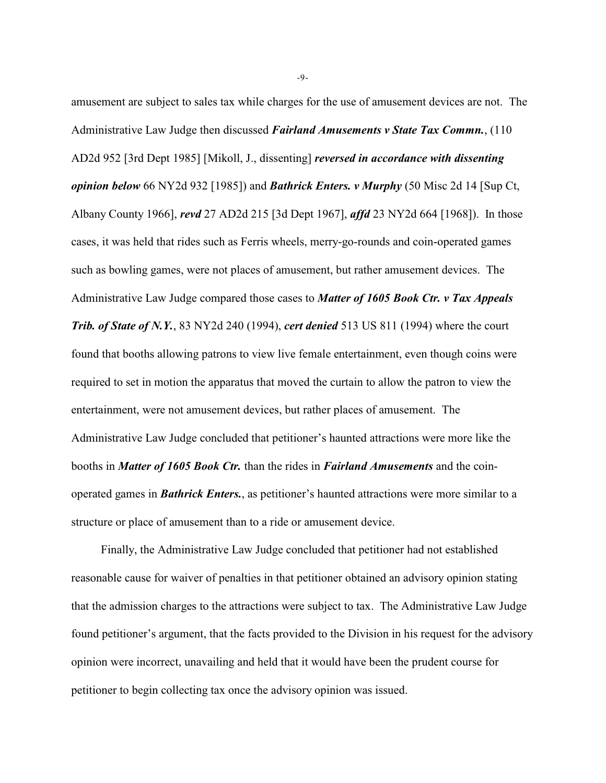amusement are subject to sales tax while charges for the use of amusement devices are not. The Administrative Law Judge then discussed *Fairland Amusements v State Tax Commn.*, (110 AD2d 952 [3rd Dept 1985] [Mikoll, J., dissenting] *reversed in accordance with dissenting opinion below* 66 NY2d 932 [1985]) and *Bathrick Enters. v Murphy* (50 Misc 2d 14 [Sup Ct, Albany County 1966], *revd* 27 AD2d 215 [3d Dept 1967], *affd* 23 NY2d 664 [1968]). In those cases, it was held that rides such as Ferris wheels, merry-go-rounds and coin-operated games such as bowling games, were not places of amusement, but rather amusement devices. The Administrative Law Judge compared those cases to *Matter of 1605 Book Ctr. v Tax Appeals Trib. of State of N.Y.*, 83 NY2d 240 (1994), *cert denied* 513 US 811 (1994) where the court found that booths allowing patrons to view live female entertainment, even though coins were required to set in motion the apparatus that moved the curtain to allow the patron to view the entertainment, were not amusement devices, but rather places of amusement. The Administrative Law Judge concluded that petitioner's haunted attractions were more like the booths in *Matter of 1605 Book Ctr.* than the rides in *Fairland Amusements* and the coinoperated games in *Bathrick Enters.*, as petitioner's haunted attractions were more similar to a structure or place of amusement than to a ride or amusement device.

Finally, the Administrative Law Judge concluded that petitioner had not established reasonable cause for waiver of penalties in that petitioner obtained an advisory opinion stating that the admission charges to the attractions were subject to tax. The Administrative Law Judge found petitioner's argument, that the facts provided to the Division in his request for the advisory opinion were incorrect, unavailing and held that it would have been the prudent course for petitioner to begin collecting tax once the advisory opinion was issued.

-9-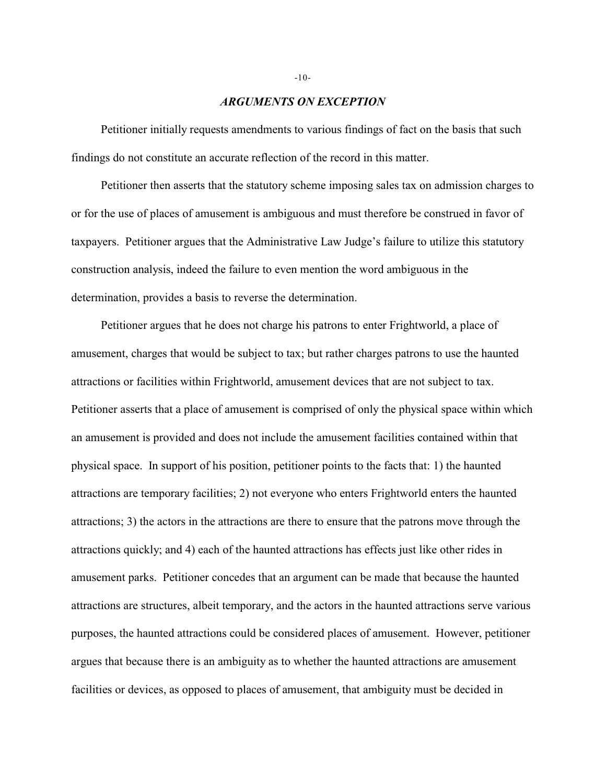#### *ARGUMENTS ON EXCEPTION*

Petitioner initially requests amendments to various findings of fact on the basis that such findings do not constitute an accurate reflection of the record in this matter.

Petitioner then asserts that the statutory scheme imposing sales tax on admission charges to or for the use of places of amusement is ambiguous and must therefore be construed in favor of taxpayers. Petitioner argues that the Administrative Law Judge's failure to utilize this statutory construction analysis, indeed the failure to even mention the word ambiguous in the determination, provides a basis to reverse the determination.

Petitioner argues that he does not charge his patrons to enter Frightworld, a place of amusement, charges that would be subject to tax; but rather charges patrons to use the haunted attractions or facilities within Frightworld, amusement devices that are not subject to tax. Petitioner asserts that a place of amusement is comprised of only the physical space within which an amusement is provided and does not include the amusement facilities contained within that physical space. In support of his position, petitioner points to the facts that: 1) the haunted attractions are temporary facilities; 2) not everyone who enters Frightworld enters the haunted attractions; 3) the actors in the attractions are there to ensure that the patrons move through the attractions quickly; and 4) each of the haunted attractions has effects just like other rides in amusement parks. Petitioner concedes that an argument can be made that because the haunted attractions are structures, albeit temporary, and the actors in the haunted attractions serve various purposes, the haunted attractions could be considered places of amusement. However, petitioner argues that because there is an ambiguity as to whether the haunted attractions are amusement facilities or devices, as opposed to places of amusement, that ambiguity must be decided in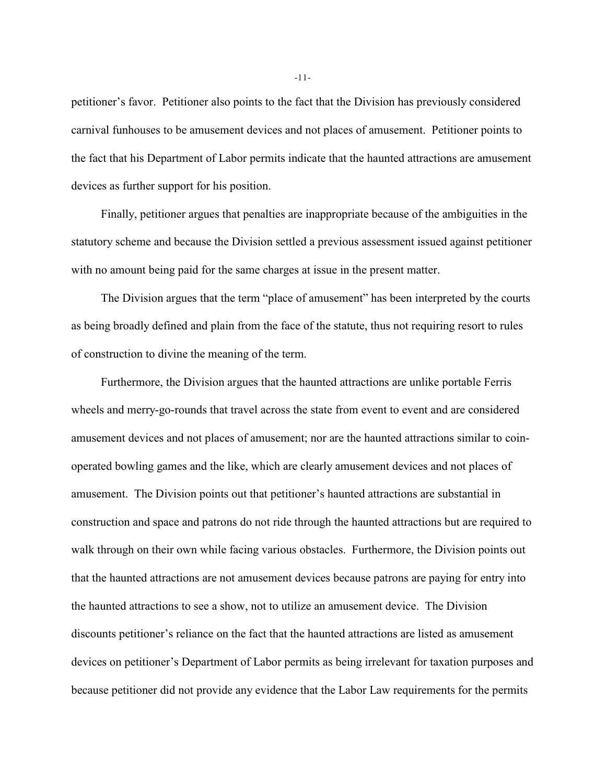petitioner's favor. Petitioner also points to the fact that the Division has previously considered carnival funhouses to be amusement devices and not places of amusement. Petitioner points to the fact that his Department of Labor permits indicate that the haunted attractions are amusement devices as further support for his position.

Finally, petitioner argues that penalties are inappropriate because of the ambiguities in the statutory scheme and because the Division settled a previous assessment issued against petitioner with no amount being paid for the same charges at issue in the present matter.

The Division argues that the term "place of amusement" has been interpreted by the courts as being broadly defined and plain from the face of the statute, thus not requiring resort to rules of construction to divine the meaning of the term.

Furthermore, the Division argues that the haunted attractions are unlike portable Ferris wheels and merry-go-rounds that travel across the state from event to event and are considered amusement devices and not places of amusement; nor are the haunted attractions similar to coinoperated bowling games and the like, which are clearly amusement devices and not places of amusement. The Division points out that petitioner's haunted attractions are substantial in construction and space and patrons do not ride through the haunted attractions but are required to walk through on their own while facing various obstacles. Furthermore, the Division points out that the haunted attractions are not amusement devices because patrons are paying for entry into the haunted attractions to see a show, not to utilize an amusement device. The Division discounts petitioner's reliance on the fact that the haunted attractions are listed as amusement devices on petitioner's Department of Labor permits as being irrelevant for taxation purposes and because petitioner did not provide any evidence that the Labor Law requirements for the permits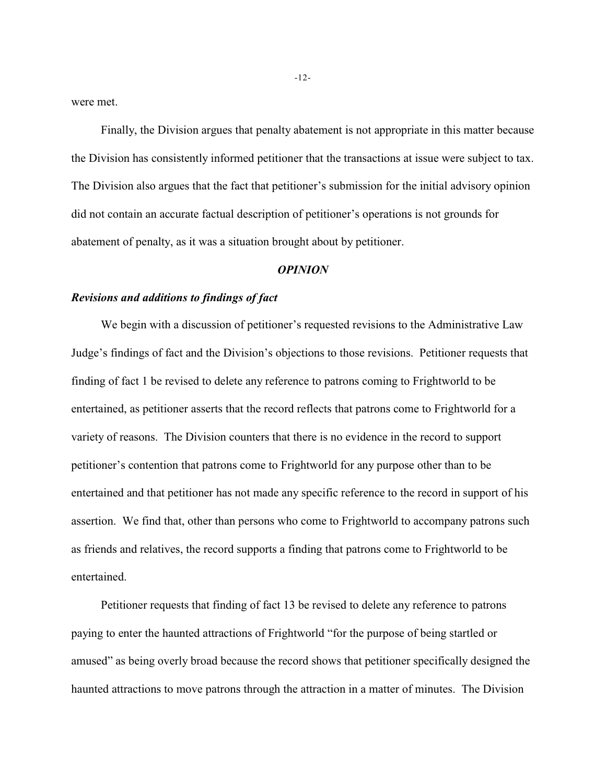were met.

Finally, the Division argues that penalty abatement is not appropriate in this matter because the Division has consistently informed petitioner that the transactions at issue were subject to tax. The Division also argues that the fact that petitioner's submission for the initial advisory opinion did not contain an accurate factual description of petitioner's operations is not grounds for abatement of penalty, as it was a situation brought about by petitioner.

#### *OPINION*

## *Revisions and additions to findings of fact*

We begin with a discussion of petitioner's requested revisions to the Administrative Law Judge's findings of fact and the Division's objections to those revisions. Petitioner requests that finding of fact 1 be revised to delete any reference to patrons coming to Frightworld to be entertained, as petitioner asserts that the record reflects that patrons come to Frightworld for a variety of reasons. The Division counters that there is no evidence in the record to support petitioner's contention that patrons come to Frightworld for any purpose other than to be entertained and that petitioner has not made any specific reference to the record in support of his assertion. We find that, other than persons who come to Frightworld to accompany patrons such as friends and relatives, the record supports a finding that patrons come to Frightworld to be entertained.

Petitioner requests that finding of fact 13 be revised to delete any reference to patrons paying to enter the haunted attractions of Frightworld "for the purpose of being startled or amused" as being overly broad because the record shows that petitioner specifically designed the haunted attractions to move patrons through the attraction in a matter of minutes. The Division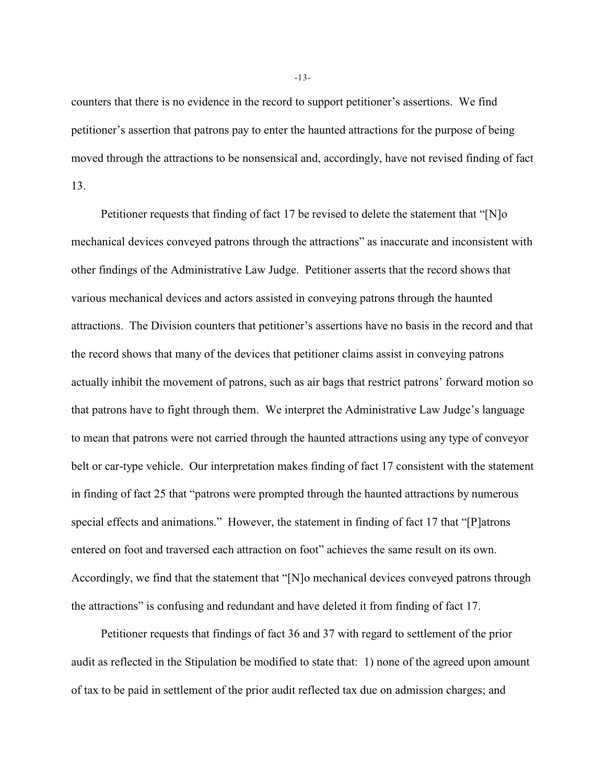counters that there is no evidence in the record to support petitioner's assertions. We find petitioner's assertion that patrons pay to enter the haunted attractions for the purpose of being moved through the attractions to be nonsensical and, accordingly, have not revised finding of fact 13.

Petitioner requests that finding of fact 17 be revised to delete the statement that "[N]o mechanical devices conveyed patrons through the attractions" as inaccurate and inconsistent with other findings of the Administrative Law Judge. Petitioner asserts that the record shows that various mechanical devices and actors assisted in conveying patrons through the haunted attractions. The Division counters that petitioner's assertions have no basis in the record and that the record shows that many of the devices that petitioner claims assist in conveying patrons actually inhibit the movement of patrons, such as air bags that restrict patrons' forward motion so that patrons have to fight through them. We interpret the Administrative Law Judge's language to mean that patrons were not carried through the haunted attractions using any type of conveyor belt or car-type vehicle. Our interpretation makes finding of fact 17 consistent with the statement in finding of fact 25 that "patrons were prompted through the haunted attractions by numerous special effects and animations." However, the statement in finding of fact 17 that "[P]atrons entered on foot and traversed each attraction on foot" achieves the same result on its own. Accordingly, we find that the statement that "[N]o mechanical devices conveyed patrons through the attractions" is confusing and redundant and have deleted it from finding of fact 17.

Petitioner requests that findings of fact 36 and 37 with regard to settlement of the prior audit as reflected in the Stipulation be modified to state that: 1) none of the agreed upon amount of tax to be paid in settlement of the prior audit reflected tax due on admission charges; and

-13-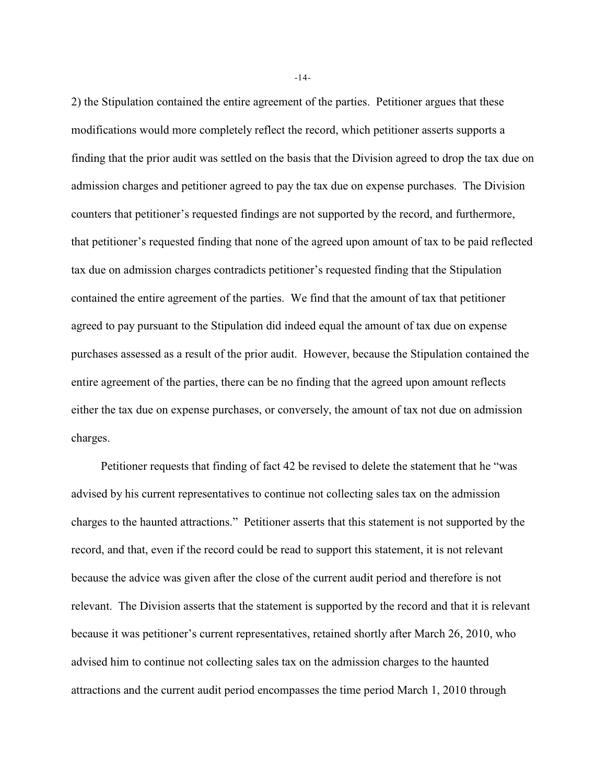2) the Stipulation contained the entire agreement of the parties. Petitioner argues that these modifications would more completely reflect the record, which petitioner asserts supports a finding that the prior audit was settled on the basis that the Division agreed to drop the tax due on admission charges and petitioner agreed to pay the tax due on expense purchases. The Division counters that petitioner's requested findings are not supported by the record, and furthermore, that petitioner's requested finding that none of the agreed upon amount of tax to be paid reflected tax due on admission charges contradicts petitioner's requested finding that the Stipulation contained the entire agreement of the parties. We find that the amount of tax that petitioner agreed to pay pursuant to the Stipulation did indeed equal the amount of tax due on expense purchases assessed as a result of the prior audit. However, because the Stipulation contained the entire agreement of the parties, there can be no finding that the agreed upon amount reflects either the tax due on expense purchases, or conversely, the amount of tax not due on admission charges.

Petitioner requests that finding of fact 42 be revised to delete the statement that he "was advised by his current representatives to continue not collecting sales tax on the admission charges to the haunted attractions." Petitioner asserts that this statement is not supported by the record, and that, even if the record could be read to support this statement, it is not relevant because the advice was given after the close of the current audit period and therefore is not relevant. The Division asserts that the statement is supported by the record and that it is relevant because it was petitioner's current representatives, retained shortly after March 26, 2010, who advised him to continue not collecting sales tax on the admission charges to the haunted attractions and the current audit period encompasses the time period March 1, 2010 through

-14-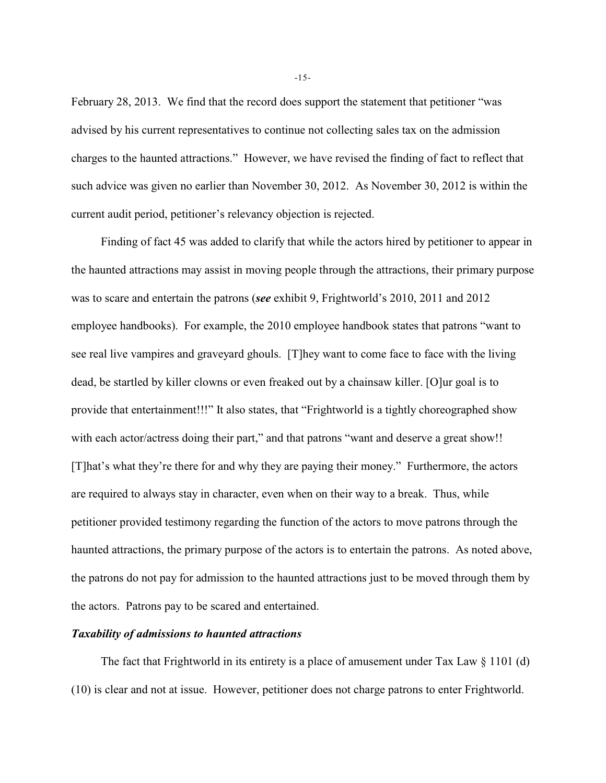February 28, 2013. We find that the record does support the statement that petitioner "was advised by his current representatives to continue not collecting sales tax on the admission charges to the haunted attractions." However, we have revised the finding of fact to reflect that such advice was given no earlier than November 30, 2012. As November 30, 2012 is within the current audit period, petitioner's relevancy objection is rejected.

Finding of fact 45 was added to clarify that while the actors hired by petitioner to appear in the haunted attractions may assist in moving people through the attractions, their primary purpose was to scare and entertain the patrons (*see* exhibit 9, Frightworld's 2010, 2011 and 2012 employee handbooks). For example, the 2010 employee handbook states that patrons "want to see real live vampires and graveyard ghouls. [T]hey want to come face to face with the living dead, be startled by killer clowns or even freaked out by a chainsaw killer. [O]ur goal is to provide that entertainment!!!" It also states, that "Frightworld is a tightly choreographed show with each actor/actress doing their part," and that patrons "want and deserve a great show!! [T]hat's what they're there for and why they are paying their money." Furthermore, the actors are required to always stay in character, even when on their way to a break. Thus, while petitioner provided testimony regarding the function of the actors to move patrons through the haunted attractions, the primary purpose of the actors is to entertain the patrons. As noted above, the patrons do not pay for admission to the haunted attractions just to be moved through them by the actors. Patrons pay to be scared and entertained.

### *Taxability of admissions to haunted attractions*

The fact that Frightworld in its entirety is a place of amusement under Tax Law § 1101 (d) (10) is clear and not at issue. However, petitioner does not charge patrons to enter Frightworld.

-15-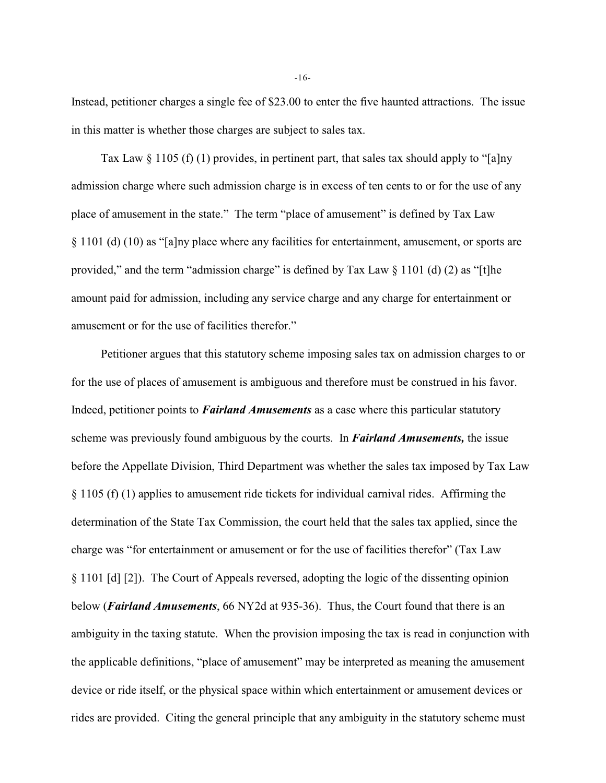Instead, petitioner charges a single fee of \$23.00 to enter the five haunted attractions. The issue in this matter is whether those charges are subject to sales tax.

Tax Law  $\S 1105$  (f) (1) provides, in pertinent part, that sales tax should apply to "[a]ny admission charge where such admission charge is in excess of ten cents to or for the use of any place of amusement in the state." The term "place of amusement" is defined by Tax Law § 1101 (d) (10) as "[a]ny place where any facilities for entertainment, amusement, or sports are provided," and the term "admission charge" is defined by Tax Law  $\S$  1101 (d) (2) as "[t]he amount paid for admission, including any service charge and any charge for entertainment or amusement or for the use of facilities therefor."

Petitioner argues that this statutory scheme imposing sales tax on admission charges to or for the use of places of amusement is ambiguous and therefore must be construed in his favor. Indeed, petitioner points to *Fairland Amusements* as a case where this particular statutory scheme was previously found ambiguous by the courts. In *Fairland Amusements,* the issue before the Appellate Division, Third Department was whether the sales tax imposed by Tax Law § 1105 (f) (1) applies to amusement ride tickets for individual carnival rides. Affirming the determination of the State Tax Commission, the court held that the sales tax applied, since the charge was "for entertainment or amusement or for the use of facilities therefor" (Tax Law § 1101 [d] [2]). The Court of Appeals reversed, adopting the logic of the dissenting opinion below (*Fairland Amusements*, 66 NY2d at 935-36). Thus, the Court found that there is an ambiguity in the taxing statute. When the provision imposing the tax is read in conjunction with the applicable definitions, "place of amusement" may be interpreted as meaning the amusement device or ride itself, or the physical space within which entertainment or amusement devices or rides are provided. Citing the general principle that any ambiguity in the statutory scheme must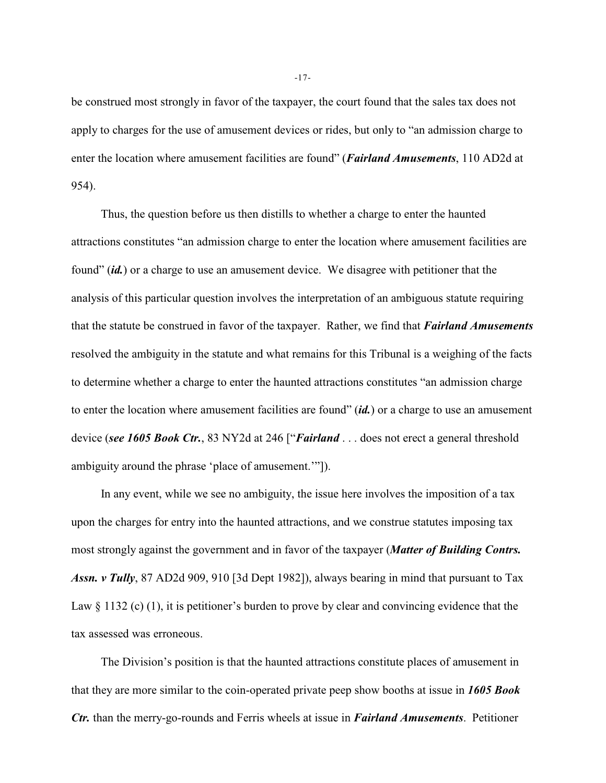be construed most strongly in favor of the taxpayer, the court found that the sales tax does not apply to charges for the use of amusement devices or rides, but only to "an admission charge to enter the location where amusement facilities are found" (*Fairland Amusements*, 110 AD2d at 954).

Thus, the question before us then distills to whether a charge to enter the haunted attractions constitutes "an admission charge to enter the location where amusement facilities are found" (*id.*) or a charge to use an amusement device. We disagree with petitioner that the analysis of this particular question involves the interpretation of an ambiguous statute requiring that the statute be construed in favor of the taxpayer. Rather, we find that *Fairland Amusements* resolved the ambiguity in the statute and what remains for this Tribunal is a weighing of the facts to determine whether a charge to enter the haunted attractions constitutes "an admission charge to enter the location where amusement facilities are found" (*id.*) or a charge to use an amusement device (*see 1605 Book Ctr.*, 83 NY2d at 246 ["*Fairland* . . . does not erect a general threshold ambiguity around the phrase 'place of amusement.'"]).

In any event, while we see no ambiguity, the issue here involves the imposition of a tax upon the charges for entry into the haunted attractions, and we construe statutes imposing tax most strongly against the government and in favor of the taxpayer (*Matter of Building Contrs. Assn. v Tully*, 87 AD2d 909, 910 [3d Dept 1982]), always bearing in mind that pursuant to Tax Law § 1132 (c) (1), it is petitioner's burden to prove by clear and convincing evidence that the tax assessed was erroneous.

The Division's position is that the haunted attractions constitute places of amusement in that they are more similar to the coin-operated private peep show booths at issue in *1605 Book Ctr.* than the merry-go-rounds and Ferris wheels at issue in *Fairland Amusements*. Petitioner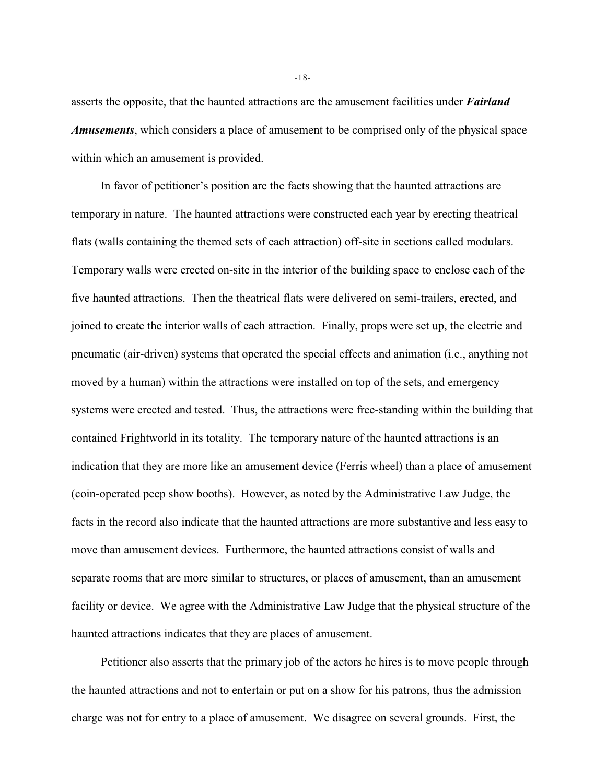asserts the opposite, that the haunted attractions are the amusement facilities under *Fairland Amusements*, which considers a place of amusement to be comprised only of the physical space within which an amusement is provided.

In favor of petitioner's position are the facts showing that the haunted attractions are temporary in nature. The haunted attractions were constructed each year by erecting theatrical flats (walls containing the themed sets of each attraction) off-site in sections called modulars. Temporary walls were erected on-site in the interior of the building space to enclose each of the five haunted attractions. Then the theatrical flats were delivered on semi-trailers, erected, and joined to create the interior walls of each attraction. Finally, props were set up, the electric and pneumatic (air-driven) systems that operated the special effects and animation (i.e., anything not moved by a human) within the attractions were installed on top of the sets, and emergency systems were erected and tested. Thus, the attractions were free-standing within the building that contained Frightworld in its totality. The temporary nature of the haunted attractions is an indication that they are more like an amusement device (Ferris wheel) than a place of amusement (coin-operated peep show booths). However, as noted by the Administrative Law Judge, the facts in the record also indicate that the haunted attractions are more substantive and less easy to move than amusement devices. Furthermore, the haunted attractions consist of walls and separate rooms that are more similar to structures, or places of amusement, than an amusement facility or device. We agree with the Administrative Law Judge that the physical structure of the haunted attractions indicates that they are places of amusement.

Petitioner also asserts that the primary job of the actors he hires is to move people through the haunted attractions and not to entertain or put on a show for his patrons, thus the admission charge was not for entry to a place of amusement. We disagree on several grounds. First, the

-18-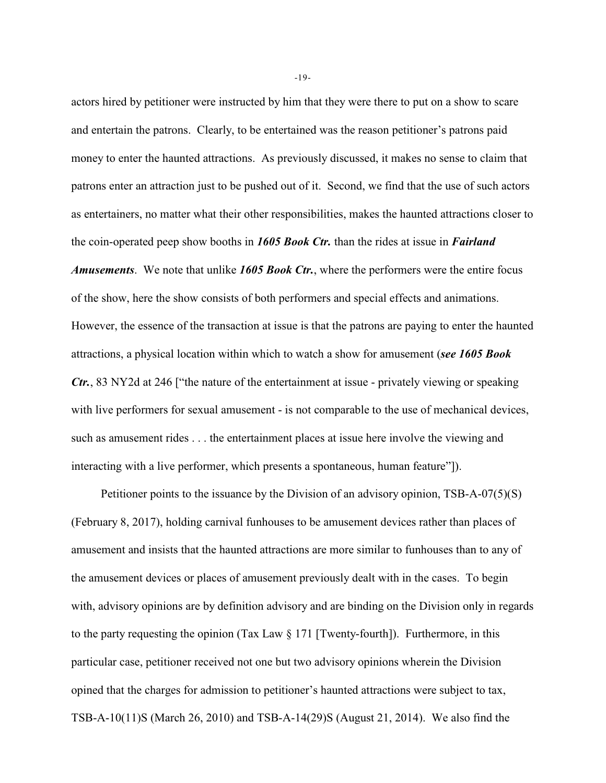actors hired by petitioner were instructed by him that they were there to put on a show to scare and entertain the patrons. Clearly, to be entertained was the reason petitioner's patrons paid money to enter the haunted attractions. As previously discussed, it makes no sense to claim that patrons enter an attraction just to be pushed out of it. Second, we find that the use of such actors as entertainers, no matter what their other responsibilities, makes the haunted attractions closer to the coin-operated peep show booths in *1605 Book Ctr.* than the rides at issue in *Fairland Amusements*. We note that unlike *1605 Book Ctr.*, where the performers were the entire focus of the show, here the show consists of both performers and special effects and animations. However, the essence of the transaction at issue is that the patrons are paying to enter the haunted attractions, a physical location within which to watch a show for amusement (*see 1605 Book Ctr.*, 83 NY2d at 246 ["the nature of the entertainment at issue - privately viewing or speaking with live performers for sexual amusement - is not comparable to the use of mechanical devices, such as amusement rides . . . the entertainment places at issue here involve the viewing and interacting with a live performer, which presents a spontaneous, human feature"]).

Petitioner points to the issuance by the Division of an advisory opinion, TSB-A-07(5)(S) (February 8, 2017), holding carnival funhouses to be amusement devices rather than places of amusement and insists that the haunted attractions are more similar to funhouses than to any of the amusement devices or places of amusement previously dealt with in the cases. To begin with, advisory opinions are by definition advisory and are binding on the Division only in regards to the party requesting the opinion (Tax Law  $\S 171$  [Twenty-fourth]). Furthermore, in this particular case, petitioner received not one but two advisory opinions wherein the Division opined that the charges for admission to petitioner's haunted attractions were subject to tax, TSB-A-10(11)S (March 26, 2010) and TSB-A-14(29)S (August 21, 2014). We also find the

-19-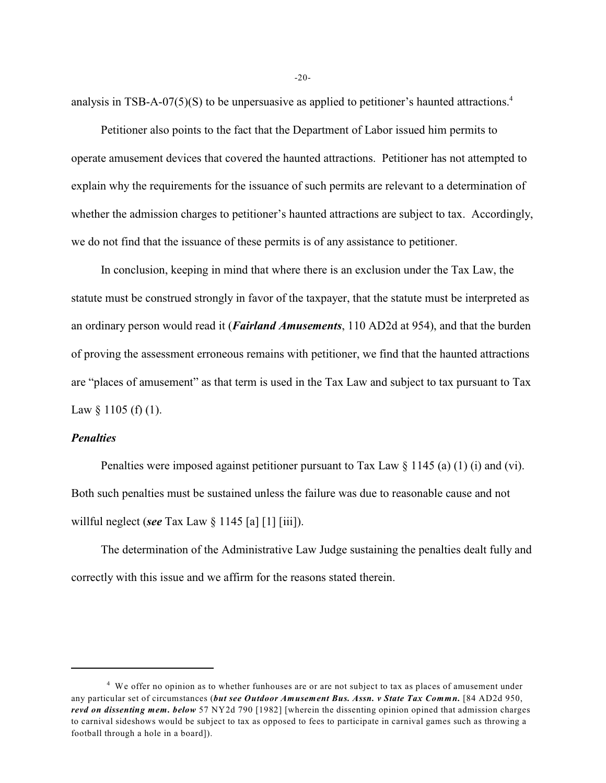analysis in TSB-A-07(5)(S) to be unpersuasive as applied to petitioner's haunted attractions. 4

Petitioner also points to the fact that the Department of Labor issued him permits to operate amusement devices that covered the haunted attractions. Petitioner has not attempted to explain why the requirements for the issuance of such permits are relevant to a determination of whether the admission charges to petitioner's haunted attractions are subject to tax. Accordingly, we do not find that the issuance of these permits is of any assistance to petitioner.

In conclusion, keeping in mind that where there is an exclusion under the Tax Law, the statute must be construed strongly in favor of the taxpayer, that the statute must be interpreted as an ordinary person would read it (*Fairland Amusements*, 110 AD2d at 954), and that the burden of proving the assessment erroneous remains with petitioner, we find that the haunted attractions are "places of amusement" as that term is used in the Tax Law and subject to tax pursuant to Tax Law  $\S$  1105 (f) (1).

### *Penalties*

Penalties were imposed against petitioner pursuant to Tax Law  $\S 1145$  (a) (1) (i) and (vi). Both such penalties must be sustained unless the failure was due to reasonable cause and not willful neglect (*see* Tax Law § 1145 [a] [1] [iii]).

The determination of the Administrative Law Judge sustaining the penalties dealt fully and correctly with this issue and we affirm for the reasons stated therein.

-20-

 $4\,$  We offer no opinion as to whether funhouses are or are not subject to tax as places of amusement under any particular set of circumstances (*but see Outdoor Amusement Bus. Assn. v State Tax Commn.* [84 AD2d 950, *revd on dissenting mem. below* 57 NY2d 790 [1982] [wherein the dissenting opinion opined that admission charges to carnival sideshows would be subject to tax as opposed to fees to participate in carnival games such as throwing a football through a hole in a board]).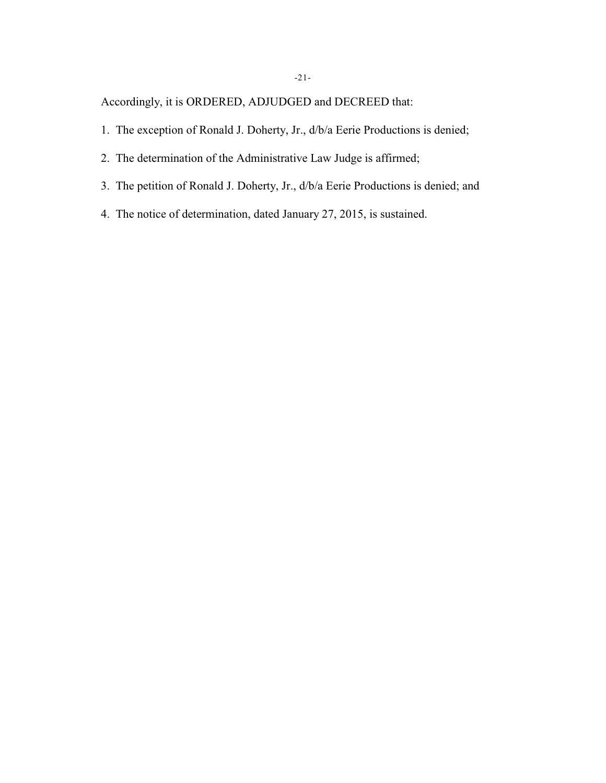Accordingly, it is ORDERED, ADJUDGED and DECREED that:

- 1. The exception of Ronald J. Doherty, Jr., d/b/a Eerie Productions is denied;
- 2. The determination of the Administrative Law Judge is affirmed;
- 3. The petition of Ronald J. Doherty, Jr., d/b/a Eerie Productions is denied; and
- 4. The notice of determination, dated January 27, 2015, is sustained.